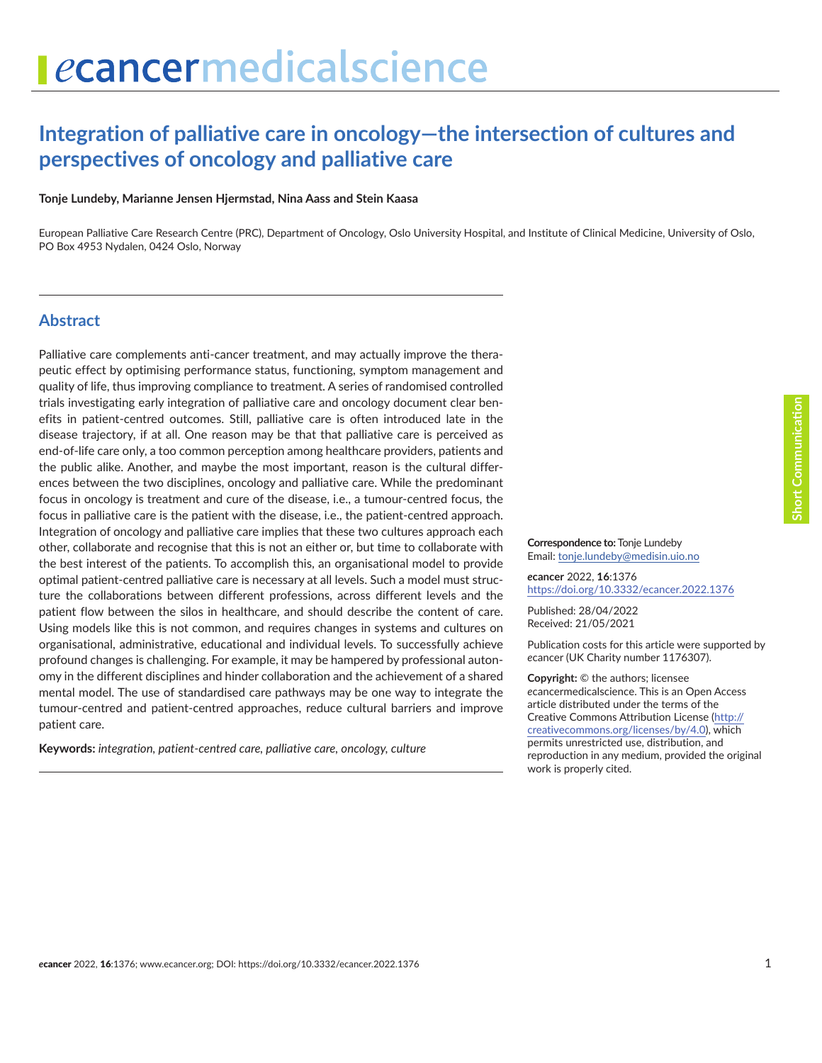# **Integration of palliative care in oncology—the intersection of cultures and perspectives of oncology and palliative care**

#### **Tonje Lundeby, Marianne Jensen Hjermstad, Nina Aass and Stein Kaasa**

European Palliative Care Research Centre (PRC), Department of Oncology, Oslo University Hospital, and Institute of Clinical Medicine, University of Oslo, PO Box 4953 Nydalen, 0424 Oslo, Norway

#### **Abstract**

Palliative care complements anti-cancer treatment, and may actually improve the therapeutic effect by optimising performance status, functioning, symptom management and quality of life, thus improving compliance to treatment. A series of randomised controlled trials investigating early integration of palliative care and oncology document clear benefits in patient-centred outcomes. Still, palliative care is often introduced late in the disease trajectory, if at all. One reason may be that that palliative care is perceived as end-of-life care only, a too common perception among healthcare providers, patients and the public alike. Another, and maybe the most important, reason is the cultural differences between the two disciplines, oncology and palliative care. While the predominant focus in oncology is treatment and cure of the disease, i.e., a tumour-centred focus, the focus in palliative care is the patient with the disease, i.e., the patient-centred approach. Integration of oncology and palliative care implies that these two cultures approach each other, collaborate and recognise that this is not an either or, but time to collaborate with the best interest of the patients. To accomplish this, an organisational model to provide optimal patient-centred palliative care is necessary at all levels. Such a model must structure the collaborations between different professions, across different levels and the patient flow between the silos in healthcare, and should describe the content of care. Using models like this is not common, and requires changes in systems and cultures on organisational, administrative, educational and individual levels. To successfully achieve profound changes is challenging. For example, it may be hampered by professional autonomy in the different disciplines and hinder collaboration and the achievement of a shared mental model. The use of standardised care pathways may be one way to integrate the tumour-centred and patient-centred approaches, reduce cultural barriers and improve patient care.

**Keywords:** *integration, patient-centred care, palliative care, oncology, culture*

**Short Communication nort Communication** 

**Correspondence to:** Tonje Lundeby Email: [tonje.lundeby@medisin.uio.no](mailto:tonje.lundeby@medisin.uio.no)

*e***cancer** 2022, **16**:1376 [https://doi.org/10.3332/ecancer.2022.137](https://doi.org/10.3332/ecancer.2022.1376)6

Published: 28/04/2022 Received: 21/05/2021

Publication costs for this article were supported by *e*cancer (UK Charity number 1176307).

**Copyright:** © the authors; licensee *e*cancermedicalscience. This is an Open Access article distributed under the terms of the Creative Commons Attribution License (http:// creativecommons.org/licenses/by/4.0), which permits unrestricted use, distribution, and reproduction in any medium, provided the original work is properly cited.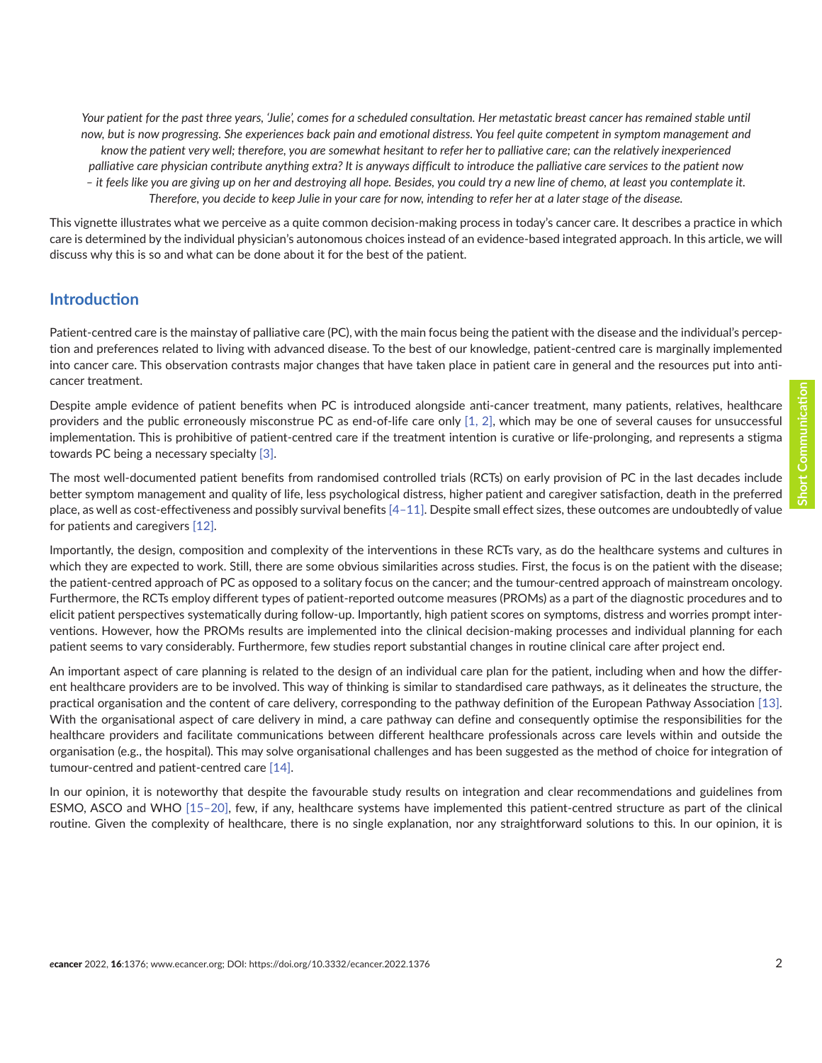Your patient for the past three years, 'Julie', comes for a scheduled consultation. Her metastatic breast cancer has remained stable until *now, but is now progressing. She experiences back pain and emotional distress. You feel quite competent in symptom management and know the patient very well; therefore, you are somewhat hesitant to refer her to palliative care; can the relatively inexperienced palliative care physician contribute anything extra? It is anyways difficult to introduce the palliative care services to the patient now – it feels like you are giving up on her and destroying all hope. Besides, you could try a new line of chemo, at least you contemplate it. Therefore, you decide to keep Julie in your care for now, intending to refer her at a later stage of the disease.*

This vignette illustrates what we perceive as a quite common decision-making process in today's cancer care. It describes a practice in which care is determined by the individual physician's autonomous choices instead of an evidence-based integrated approach. In this article, we will discuss why this is so and what can be done about it for the best of the patient.

#### **Introduction**

Patient-centred care is the mainstay of palliative care (PC), with the main focus being the patient with the disease and the individual's perception and preferences related to living with advanced disease. To the best of our knowledge, patient-centred care is marginally implemented into cancer care. This observation contrasts major changes that have taken place in patient care in general and the resources put into anticancer treatment.

Despite ample evidence of patient benefits when PC is introduced alongside anti-cancer treatment, many patients, relatives, healthcare providers and the public erroneously misconstrue PC as end-of-life care only [\[1,](#page-4-0) [2\]](#page-4-0), which may be one of several causes for unsuccessful implementation. This is prohibitive of patient-centred care if the treatment intention is curative or life-prolonging, and represents a stigma towards PC being a necessary specialty [\[3\].](#page-4-0)

The most well-documented patient benefits from randomised controlled trials (RCTs) on early provision of PC in the last decades include better symptom management and quality of life, less psychological distress, higher patient and caregiver satisfaction, death in the preferred place, as well as cost-effectiveness and possibly survival benefits [\[4–](#page-4-0)[11\]](#page-5-0). Despite small effect sizes, these outcomes are undoubtedly of value for patients and caregivers [\[12\]](#page-5-0).

Importantly, the design, composition and complexity of the interventions in these RCTs vary, as do the healthcare systems and cultures in which they are expected to work. Still, there are some obvious similarities across studies. First, the focus is on the patient with the disease; the patient-centred approach of PC as opposed to a solitary focus on the cancer; and the tumour-centred approach of mainstream oncology. Furthermore, the RCTs employ different types of patient-reported outcome measures (PROMs) as a part of the diagnostic procedures and to elicit patient perspectives systematically during follow-up. Importantly, high patient scores on symptoms, distress and worries prompt interventions. However, how the PROMs results are implemented into the clinical decision-making processes and individual planning for each patient seems to vary considerably. Furthermore, few studies report substantial changes in routine clinical care after project end.

An important aspect of care planning is related to the design of an individual care plan for the patient, including when and how the different healthcare providers are to be involved. This way of thinking is similar to standardised care pathways, as it delineates the structure, the practical organisation and the content of care delivery, corresponding to the pathway definition of the European Pathway Association [\[13\].](#page-5-0) With the organisational aspect of care delivery in mind, a care pathway can define and consequently optimise the responsibilities for the healthcare providers and facilitate communications between different healthcare professionals across care levels within and outside the organisation (e.g., the hospital). This may solve organisational challenges and has been suggested as the method of choice for integration of tumour-centred and patient-centred care [\[14\].](#page-5-0)

In our opinion, it is noteworthy that despite the favourable study results on integration and clear recommendations and guidelines from ESMO, ASCO and WHO [\[15–20\]](#page-5-0), few, if any, healthcare systems have implemented this patient-centred structure as part of the clinical routine. Given the complexity of healthcare, there is no single explanation, nor any straightforward solutions to this. In our opinion, it is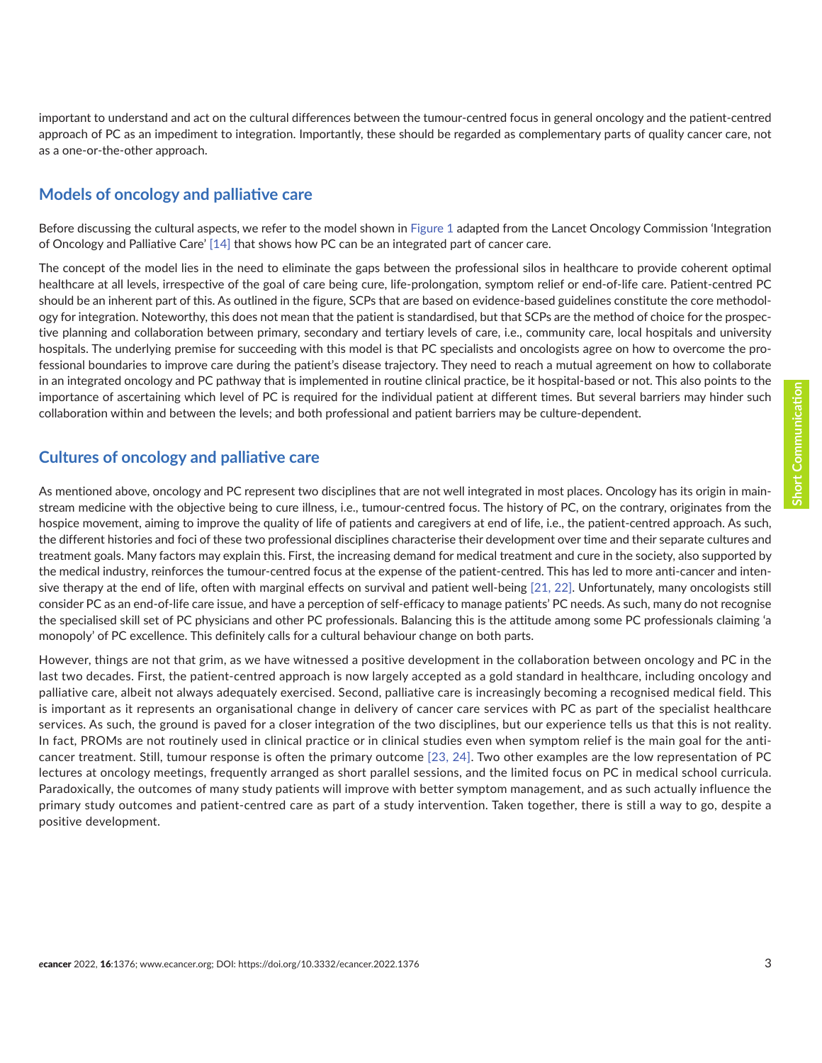important to understand and act on the cultural differences between the tumour-centred focus in general oncology and the patient-centred approach of PC as an impediment to integration. Importantly, these should be regarded as complementary parts of quality cancer care, not as a one-or-the-other approach.

#### **Models of oncology and palliative care**

Before discussing the cultural aspects, we refer to the model shown in [Figure 1](#page-3-0) adapted from the Lancet Oncology Commission 'Integration of Oncology and Palliative Care' [\[14\]](#page-5-0) that shows how PC can be an integrated part of cancer care.

The concept of the model lies in the need to eliminate the gaps between the professional silos in healthcare to provide coherent optimal healthcare at all levels, irrespective of the goal of care being cure, life-prolongation, symptom relief or end-of-life care. Patient-centred PC should be an inherent part of this. As outlined in the figure, SCPs that are based on evidence-based guidelines constitute the core methodology for integration. Noteworthy, this does not mean that the patient is standardised, but that SCPs are the method of choice for the prospective planning and collaboration between primary, secondary and tertiary levels of care, i.e., community care, local hospitals and university hospitals. The underlying premise for succeeding with this model is that PC specialists and oncologists agree on how to overcome the professional boundaries to improve care during the patient's disease trajectory. They need to reach a mutual agreement on how to collaborate in an integrated oncology and PC pathway that is implemented in routine clinical practice, be it hospital-based or not. This also points to the importance of ascertaining which level of PC is required for the individual patient at different times. But several barriers may hinder such collaboration within and between the levels; and both professional and patient barriers may be culture-dependent.

## **Cultures of oncology and palliative care**

As mentioned above, oncology and PC represent two disciplines that are not well integrated in most places. Oncology has its origin in mainstream medicine with the objective being to cure illness, i.e., tumour-centred focus. The history of PC, on the contrary, originates from the hospice movement, aiming to improve the quality of life of patients and caregivers at end of life, i.e., the patient-centred approach. As such, the different histories and foci of these two professional disciplines characterise their development over time and their separate cultures and treatment goals. Many factors may explain this. First, the increasing demand for medical treatment and cure in the society, also supported by the medical industry, reinforces the tumour-centred focus at the expense of the patient-centred. This has led to more anti-cancer and intensive therapy at the end of life, often with marginal effects on survival and patient well-being [\[21, 22\]](#page-5-0). Unfortunately, many oncologists still consider PC as an end-of-life care issue, and have a perception of self-efficacy to manage patients' PC needs. As such, many do not recognise the specialised skill set of PC physicians and other PC professionals. Balancing this is the attitude among some PC professionals claiming 'a monopoly' of PC excellence. This definitely calls for a cultural behaviour change on both parts.

However, things are not that grim, as we have witnessed a positive development in the collaboration between oncology and PC in the last two decades. First, the patient-centred approach is now largely accepted as a gold standard in healthcare, including oncology and palliative care, albeit not always adequately exercised. Second, palliative care is increasingly becoming a recognised medical field. This is important as it represents an organisational change in delivery of cancer care services with PC as part of the specialist healthcare services. As such, the ground is paved for a closer integration of the two disciplines, but our experience tells us that this is not reality. In fact, PROMs are not routinely used in clinical practice or in clinical studies even when symptom relief is the main goal for the anticancer treatment. Still, tumour response is often the primary outcome [\[23, 24\].](#page-5-0) Two other examples are the low representation of PC lectures at oncology meetings, frequently arranged as short parallel sessions, and the limited focus on PC in medical school curricula. Paradoxically, the outcomes of many study patients will improve with better symptom management, and as such actually influence the primary study outcomes and patient-centred care as part of a study intervention. Taken together, there is still a way to go, despite a positive development.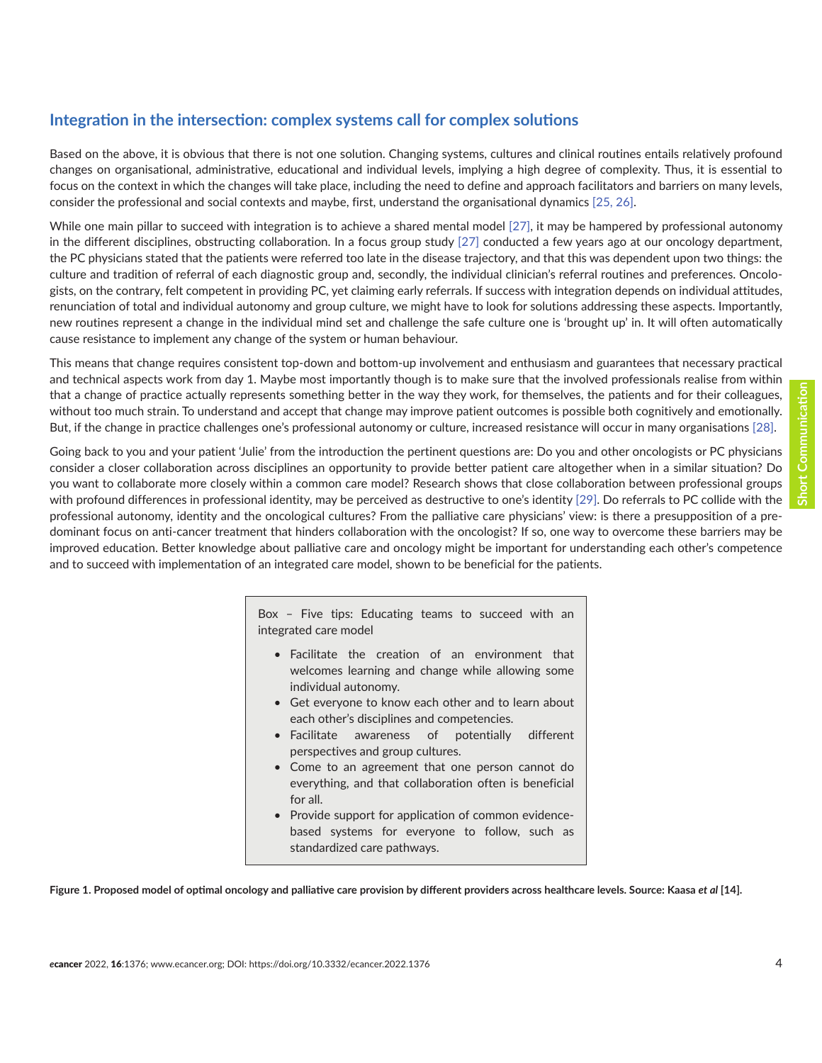## <span id="page-3-0"></span>**Integration in the intersection: complex systems call for complex solutions**

Based on the above, it is obvious that there is not one solution. Changing systems, cultures and clinical routines entails relatively profound changes on organisational, administrative, educational and individual levels, implying a high degree of complexity. Thus, it is essential to focus on the context in which the changes will take place, including the need to define and approach facilitators and barriers on many levels, consider the professional and social contexts and maybe, first, understand the organisational dynamics [\[25, 26\]](#page-6-0).

While one main pillar to succeed with integration is to achieve a shared mental model [\[27\]](#page-6-0), it may be hampered by professional autonomy in the different disciplines, obstructing collaboration. In a focus group study [\[27\]](#page-6-0) conducted a few years ago at our oncology department, the PC physicians stated that the patients were referred too late in the disease trajectory, and that this was dependent upon two things: the culture and tradition of referral of each diagnostic group and, secondly, the individual clinician's referral routines and preferences. Oncologists, on the contrary, felt competent in providing PC, yet claiming early referrals. If success with integration depends on individual attitudes, renunciation of total and individual autonomy and group culture, we might have to look for solutions addressing these aspects. Importantly, new routines represent a change in the individual mind set and challenge the safe culture one is 'brought up' in. It will often automatically cause resistance to implement any change of the system or human behaviour.

This means that change requires consistent top-down and bottom-up involvement and enthusiasm and guarantees that necessary practical and technical aspects work from day 1. Maybe most importantly though is to make sure that the involved professionals realise from within that a change of practice actually represents something better in the way they work, for themselves, the patients and for their colleagues, without too much strain. To understand and accept that change may improve patient outcomes is possible both cognitively and emotionally. But, if the change in practice challenges one's professional autonomy or culture, increased resistance will occur in many organisations [\[28\].](#page-6-0)

Going back to you and your patient 'Julie' from the introduction the pertinent questions are: Do you and other oncologists or PC physicians consider a closer collaboration across disciplines an opportunity to provide better patient care altogether when in a similar situation? Do you want to collaborate more closely within a common care model? Research shows that close collaboration between professional groups with profound differences in professional identity, may be perceived as destructive to one's identity [\[29\].](#page-6-0) Do referrals to PC collide with the professional autonomy, identity and the oncological cultures? From the palliative care physicians' view: is there a presupposition of a predominant focus on anti-cancer treatment that hinders collaboration with the oncologist? If so, one way to overcome these barriers may be improved education. Better knowledge about palliative care and oncology might be important for understanding each other's competence and to succeed with implementation of an integrated care model, shown to be beneficial for the patients.

> Box – Five tips: Educating teams to succeed with an integrated care model

- Facilitate the creation of an environment that welcomes learning and change while allowing some individual autonomy.
- Get everyone to know each other and to learn about each other's disciplines and competencies.
- Facilitate awareness of potentially different perspectives and group cultures.
- Come to an agreement that one person cannot do everything, and that collaboration often is beneficial for all.
- Provide support for application of common evidencebased systems for everyone to follow, such as standardized care pathways.

Figure 1. Proposed model of optimal oncology and palliative care provision by different providers across healthcare levels. Source: Kaasa *et al* [14].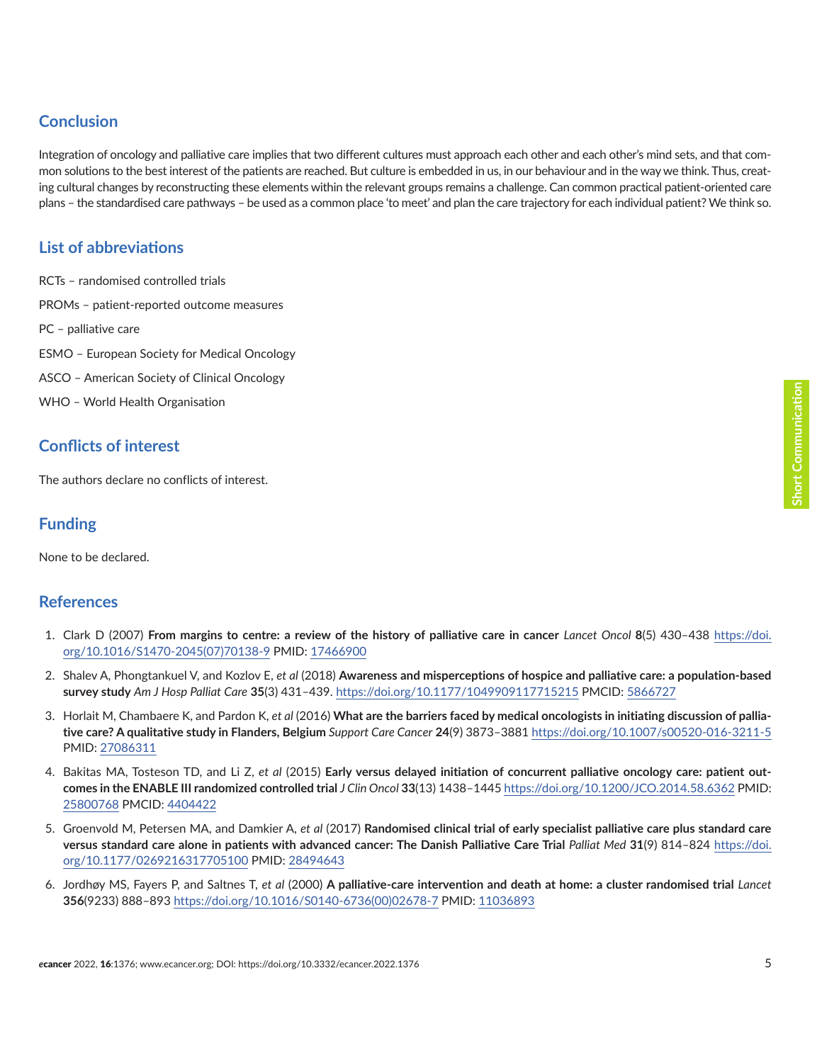# <span id="page-4-0"></span>**Conclusion**

Integration of oncology and palliative care implies that two different cultures must approach each other and each other's mind sets, and that common solutions to the best interest of the patients are reached. But culture is embedded in us, in our behaviour and in the way we think. Thus, creating cultural changes by reconstructing these elements within the relevant groups remains a challenge. Can common practical patient-oriented care plans – the standardised care pathways – be used as a common place 'to meet' and plan the care trajectory for each individual patient? We think so.

# **List of abbreviations**

RCTs – randomised controlled trials PROMs – patient-reported outcome measures PC – palliative care ESMO – European Society for Medical Oncology ASCO – American Society of Clinical Oncology WHO – World Health Organisation

# **Conflicts of interest**

The authors declare no conflicts of interest.

# **Funding**

None to be declared.

## **References**

- 1. Clark D (2007) **From margins to centre: a review of the history of palliative care in cancer** *Lancet Oncol* **8**(5) 430–438 [https://doi.](https://doi.org/10.1016/S1470-2045(07)70138-9) [org/10.1016/S1470-2045\(07\)70138-9](https://doi.org/10.1016/S1470-2045(07)70138-9) PMID: [17466900](http://www.ncbi.nlm.nih.gov/pubmed/17466900)
- 2. Shalev A, Phongtankuel V, and Kozlov E, *et al* (2018) **Awareness and misperceptions of hospice and palliative care: a population-based survey study** *Am J Hosp Palliat Care* **35**(3) 431–439.<https://doi.org/10.1177/1049909117715215> PMCID: [5866727](http://www.ncbi.nlm.nih.gov/pmc/articles/PMC5866727)
- 3. Horlait M, Chambaere K, and Pardon K, *et al* (2016) **What are the barriers faced by medical oncologists in initiating discussion of palliative care? A qualitative study in Flanders, Belgium** *Support Care Cancer* **24**(9) 3873–3881<https://doi.org/10.1007/s00520-016-3211-5> PMID: [27086311](http://www.ncbi.nlm.nih.gov/pubmed/27086311)
- 4. Bakitas MA, Tosteson TD, and Li Z, *et al* (2015) **Early versus delayed initiation of concurrent palliative oncology care: patient outcomes in the ENABLE III randomized controlled trial** *J Clin Oncol* **33**(13) 1438–1445 <https://doi.org/10.1200/JCO.2014.58.6362>PMID: [25800768](http://www.ncbi.nlm.nih.gov/pubmed/25800768) PMCID: [4404422](http://www.ncbi.nlm.nih.gov/pmc/articles/PMC4404422)
- 5. Groenvold M, Petersen MA, and Damkier A, *et al* (2017) **Randomised clinical trial of early specialist palliative care plus standard care versus standard care alone in patients with advanced cancer: The Danish Palliative Care Trial** *Palliat Med* **31**(9) 814–824 [https://doi.](https://doi.org/10.1177/0269216317705100) [org/10.1177/0269216317705100](https://doi.org/10.1177/0269216317705100) PMID: [28494643](http://www.ncbi.nlm.nih.gov/pubmed/28494643)
- 6. Jordhøy MS, Fayers P, and Saltnes T, *et al* (2000) **A palliative-care intervention and death at home: a cluster randomised trial** *Lancet* **356**(9233) 888–893 [https://doi.org/10.1016/S0140-6736\(00\)02678-7](https://doi.org/10.1016/S0140-6736(00)02678-7) PMID: [11036893](http://www.ncbi.nlm.nih.gov/pubmed/11036893)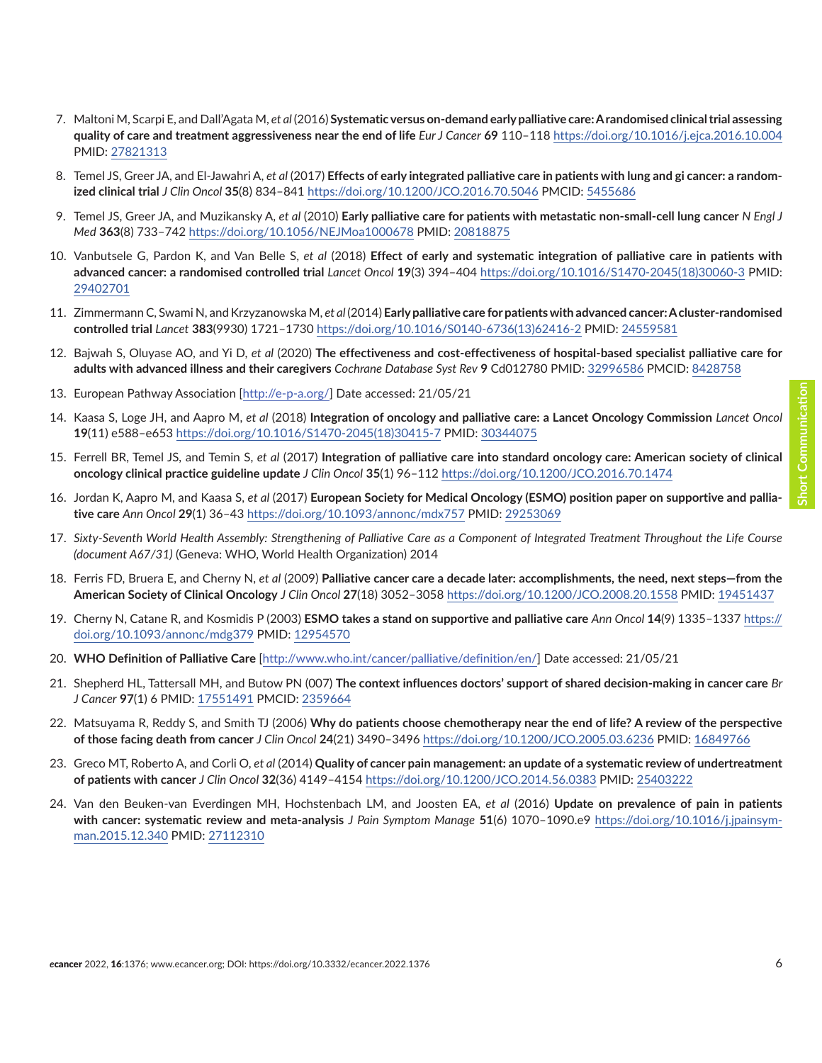- <span id="page-5-0"></span>7. Maltoni M, Scarpi E, and Dall'Agata M, *et al* (2016) **Systematic versus on-demand early palliative care: A randomised clinical trial assessing quality of care and treatment aggressiveness near the end of life** *Eur J Cancer* **69** 110–118<https://doi.org/10.1016/j.ejca.2016.10.004> PMID: [27821313](http://www.ncbi.nlm.nih.gov/pubmed/27821313)
- 8. Temel JS, Greer JA, and El-Jawahri A, *et al* (2017) **Effects of early integrated palliative care in patients with lung and gi cancer: a randomized clinical trial** *J Clin Oncol* **35**(8) 834–841<https://doi.org/10.1200/JCO.2016.70.5046> PMCID: [5455686](http://www.ncbi.nlm.nih.gov/pmc/articles/PMC5455686)
- 9. Temel JS, Greer JA, and Muzikansky A, *et al* (2010) **Early palliative care for patients with metastatic non-small-cell lung cancer** *N Engl J Med* **363**(8) 733–742 <https://doi.org/10.1056/NEJMoa1000678> PMID: [20818875](http://www.ncbi.nlm.nih.gov/pubmed/20818875)
- 10. Vanbutsele G, Pardon K, and Van Belle S, *et al* (2018) **Effect of early and systematic integration of palliative care in patients with advanced cancer: a randomised controlled trial** *Lancet Oncol* **19**(3) 394–404 [https://doi.org/10.1016/S1470-2045\(18\)30060-3](https://doi.org/10.1016/S1470-2045(18)30060-3) PMID: [29402701](http://www.ncbi.nlm.nih.gov/pubmed/29402701)
- 11. Zimmermann C, Swami N, and Krzyzanowska M, *et al* (2014) **Early palliative care for patients with advanced cancer: A cluster-randomised controlled trial** *Lancet* **383**(9930) 1721–1730 [https://doi.org/10.1016/S0140-6736\(13\)62416-2](https://doi.org/10.1016/S0140-6736(13)62416-2) PMID: [24559581](http://www.ncbi.nlm.nih.gov/pubmed/24559581)
- 12. Bajwah S, Oluyase AO, and Yi D, *et al* (2020) **The effectiveness and cost-effectiveness of hospital-based specialist palliative care for adults with advanced illness and their caregivers** *Cochrane Database Syst Rev* **9** Cd012780 PMID: [32996586](http://www.ncbi.nlm.nih.gov/pubmed/32996586) PMCID: [8428758](http://www.ncbi.nlm.nih.gov/pmc/articles/PMC8428758)
- 13. European Pathway Association [<http://e-p-a.org/>] Date accessed: 21/05/21
- 14. Kaasa S, Loge JH, and Aapro M, *et al* (2018) **Integration of oncology and palliative care: a Lancet Oncology Commission** *Lancet Oncol*  **19**(11) e588–e653 [https://doi.org/10.1016/S1470-2045\(18\)30415-7](https://doi.org/10.1016/S1470-2045(18)30415-7) PMID: [30344075](http://www.ncbi.nlm.nih.gov/pubmed/30344075)
- 15. Ferrell BR, Temel JS, and Temin S, *et al* (2017) **Integration of palliative care into standard oncology care: American society of clinical oncology clinical practice guideline update** *J Clin Oncol* **35**(1) 96–112<https://doi.org/10.1200/JCO.2016.70.1474>
- 16. Jordan K, Aapro M, and Kaasa S, *et al* (2017) **European Society for Medical Oncology (ESMO) position paper on supportive and palliative care** *Ann Oncol* **29**(1) 36–43<https://doi.org/10.1093/annonc/mdx757> PMID: [29253069](http://www.ncbi.nlm.nih.gov/pubmed/29253069)
- 17. *Sixty-Seventh World Health Assembly: Strengthening of Palliative Care as a Component of Integrated Treatment Throughout the Life Course (document A67/31)* (Geneva: WHO, World Health Organization) 2014
- 18. Ferris FD, Bruera E, and Cherny N, *et al* (2009) **Palliative cancer care a decade later: accomplishments, the need, next steps—from the American Society of Clinical Oncology** *J Clin Oncol* **27**(18) 3052–3058<https://doi.org/10.1200/JCO.2008.20.1558> PMID: [19451437](http://www.ncbi.nlm.nih.gov/pubmed/19451437)
- 19. Cherny N, Catane R, and Kosmidis P (2003) **ESMO takes a stand on supportive and palliative care** *Ann Oncol* **14**(9) 1335–1337 [https://](https://doi.org/10.1093/annonc/mdg379) [doi.org/10.1093/annonc/mdg379](https://doi.org/10.1093/annonc/mdg379) PMID: [12954570](http://www.ncbi.nlm.nih.gov/pubmed/12954570)
- 20. **WHO Definition of Palliative Care** [<http://www.who.int/cancer/palliative/definition/en/>] Date accessed: 21/05/21
- 21. Shepherd HL, Tattersall MH, and Butow PN (007) **The context influences doctors' support of shared decision-making in cancer care** *Br J Cancer* **97**(1) 6 PMID: [17551491](http://www.ncbi.nlm.nih.gov/pubmed/17551491) PMCID: [2359664](http://www.ncbi.nlm.nih.gov/pmc/articles/PMC2359664)
- 22. Matsuyama R, Reddy S, and Smith TJ (2006) **Why do patients choose chemotherapy near the end of life? A review of the perspective of those facing death from cancer** *J Clin Oncol* **24**(21) 3490–3496<https://doi.org/10.1200/JCO.2005.03.6236> PMID: [16849766](http://www.ncbi.nlm.nih.gov/pubmed/16849766)
- 23. Greco MT, Roberto A, and Corli O, *et al* (2014) **Quality of cancer pain management: an update of a systematic review of undertreatment of patients with cancer** *J Clin Oncol* **32**(36) 4149–4154<https://doi.org/10.1200/JCO.2014.56.0383> PMID: [25403222](http://www.ncbi.nlm.nih.gov/pubmed/25403222)
- 24. Van den Beuken-van Everdingen MH, Hochstenbach LM, and Joosten EA, *et al* (2016) **Update on prevalence of pain in patients with cancer: systematic review and meta-analysis** *J Pain Symptom Manage* **51**(6) 1070–1090.e9 [https://doi.org/10.1016/j.jpainsym](https://doi.org/10.1016/j.jpainsymman.2015.12.340)[man.2015.12.340](https://doi.org/10.1016/j.jpainsymman.2015.12.340) PMID: [27112310](http://www.ncbi.nlm.nih.gov/pubmed/27112310)